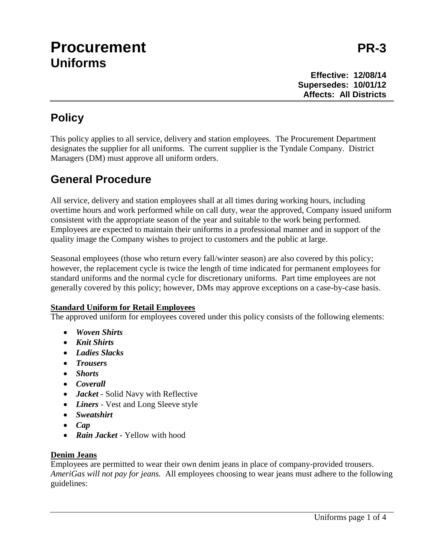# **Procurement PR-3 Uniforms**

**Effective: 12/08/14 Supersedes: 10/01/12 Affects: All Districts**

# **Policy**

This policy applies to all service, delivery and station employees. The Procurement Department designates the supplier for all uniforms. The current supplier is the Tyndale Company. District Managers (DM) must approve all uniform orders.

# **General Procedure**

All service, delivery and station employees shall at all times during working hours, including overtime hours and work performed while on call duty, wear the approved, Company issued uniform consistent with the appropriate season of the year and suitable to the work being performed. Employees are expected to maintain their uniforms in a professional manner and in support of the quality image the Company wishes to project to customers and the public at large.

Seasonal employees (those who return every fall/winter season) are also covered by this policy; however, the replacement cycle is twice the length of time indicated for permanent employees for standard uniforms and the normal cycle for discretionary uniforms. Part time employees are not generally covered by this policy; however, DMs may approve exceptions on a case-by-case basis.

# **Standard Uniform for Retail Employees**

The approved uniform for employees covered under this policy consists of the following elements:

- *Woven Shirts*
- *Knit Shirts*
- *Ladies Slacks*
- *Trousers*
- *Shorts*
- *Coverall*
- *Jacket* Solid Navy with Reflective
- *Liners* Vest and Long Sleeve style
- *Sweatshirt*
- *Cap*
- *Rain Jacket* Yellow with hood

# **Denim Jeans**

Employees are permitted to wear their own denim jeans in place of company-provided trousers. *AmeriGas will not pay for jeans.* All employees choosing to wear jeans must adhere to the following guidelines: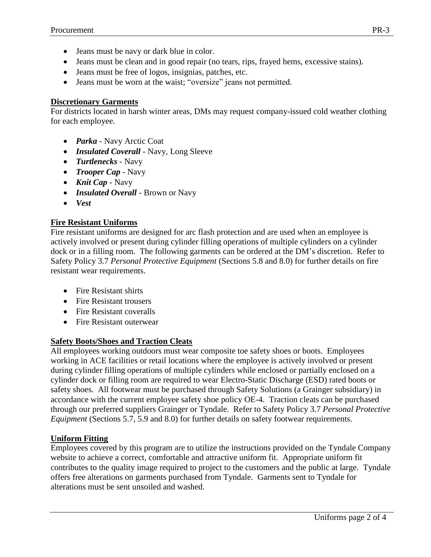- Jeans must be navy or dark blue in color.
- Jeans must be clean and in good repair (no tears, rips, frayed hems, excessive stains).
- Jeans must be free of logos, insignias, patches, etc.
- Jeans must be worn at the waist; "oversize" jeans not permitted.

# **Discretionary Garments**

For districts located in harsh winter areas, DMs may request company-issued cold weather clothing for each employee.

- *Parka* Navy Arctic Coat
- *Insulated Coverall* Navy, Long Sleeve
- *Turtlenecks* Navy
- *Trooper Cap* Navy
- *Knit Cap* Navy
- *Insulated Overall* Brown or Navy
- *Vest*

# **Fire Resistant Uniforms**

Fire resistant uniforms are designed for arc flash protection and are used when an employee is actively involved or present during cylinder filling operations of multiple cylinders on a cylinder dock or in a filling room. The following garments can be ordered at the DM's discretion. Refer to Safety Policy 3.7 *Personal Protective Equipment* (Sections 5.8 and 8.0) for further details on fire resistant wear requirements.

- Fire Resistant shirts
- Fire Resistant trousers
- Fire Resistant coveralls
- Fire Resistant outerwear

# **Safety Boots/Shoes and Traction Cleats**

All employees working outdoors must wear composite toe safety shoes or boots. Employees working in ACE facilities or retail locations where the employee is actively involved or present during cylinder filling operations of multiple cylinders while enclosed or partially enclosed on a cylinder dock or filling room are required to wear Electro-Static Discharge (ESD) rated boots or safety shoes. All footwear must be purchased through Safety Solutions (a Grainger subsidiary) in accordance with the current employee safety shoe policy OE-4. Traction cleats can be purchased through our preferred suppliers Grainger or Tyndale. Refer to Safety Policy 3.7 *Personal Protective Equipment* (Sections 5.7, 5.9 and 8.0) for further details on safety footwear requirements.

# **Uniform Fitting**

Employees covered by this program are to utilize the instructions provided on the Tyndale Company website to achieve a correct, comfortable and attractive uniform fit. Appropriate uniform fit contributes to the quality image required to project to the customers and the public at large. Tyndale offers free alterations on garments purchased from Tyndale. Garments sent to Tyndale for alterations must be sent unsoiled and washed.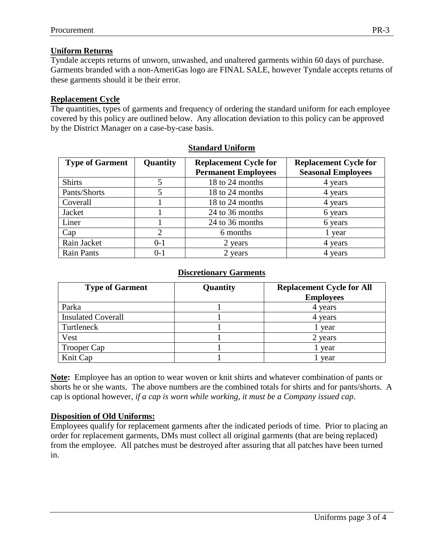# **Uniform Returns**

Tyndale accepts returns of unworn, unwashed, and unaltered garments within 60 days of purchase. Garments branded with a non-AmeriGas logo are FINAL SALE, however Tyndale accepts returns of these garments should it be their error.

# **Replacement Cycle**

The quantities, types of garments and frequency of ordering the standard uniform for each employee covered by this policy are outlined below. Any allocation deviation to this policy can be approved by the District Manager on a case-by-case basis.

| <b>Type of Garment</b> | <b>Quantity</b> | <b>Replacement Cycle for</b><br><b>Permanent Employees</b> | <b>Replacement Cycle for</b><br><b>Seasonal Employees</b> |
|------------------------|-----------------|------------------------------------------------------------|-----------------------------------------------------------|
| <b>Shirts</b>          |                 | 18 to 24 months                                            | 4 years                                                   |
| Pants/Shorts           |                 | 18 to 24 months                                            | 4 years                                                   |
| Coverall               |                 | 18 to 24 months                                            | 4 years                                                   |
| Jacket                 |                 | 24 to 36 months                                            | 6 years                                                   |
| Liner                  |                 | 24 to 36 months                                            | 6 years                                                   |
| Cap                    | ⌒               | 6 months                                                   | year                                                      |
| Rain Jacket            | $0-1$           | 2 years                                                    | 4 years                                                   |
| <b>Rain Pants</b>      | 0-1             | 2 years                                                    | 4 years                                                   |

#### **Standard Uniform**

#### **Discretionary Garments**

| <b>Type of Garment</b>    | Quantity | <b>Replacement Cycle for All</b><br><b>Employees</b> |
|---------------------------|----------|------------------------------------------------------|
| Parka                     |          | 4 years                                              |
| <b>Insulated Coverall</b> |          | 4 years                                              |
| Turtleneck                |          | year                                                 |
| Vest                      |          | 2 years                                              |
| Trooper Cap               |          | year                                                 |
| Knit Cap                  |          | year                                                 |

**Note:** Employee has an option to wear woven or knit shirts and whatever combination of pants or shorts he or she wants. The above numbers are the combined totals for shirts and for pants/shorts. A cap is optional however, *if a cap is worn while working, it must be a Company issued cap*.

# **Disposition of Old Uniforms:**

Employees qualify for replacement garments after the indicated periods of time. Prior to placing an order for replacement garments, DMs must collect all original garments (that are being replaced) from the employee. All patches must be destroyed after assuring that all patches have been turned in.